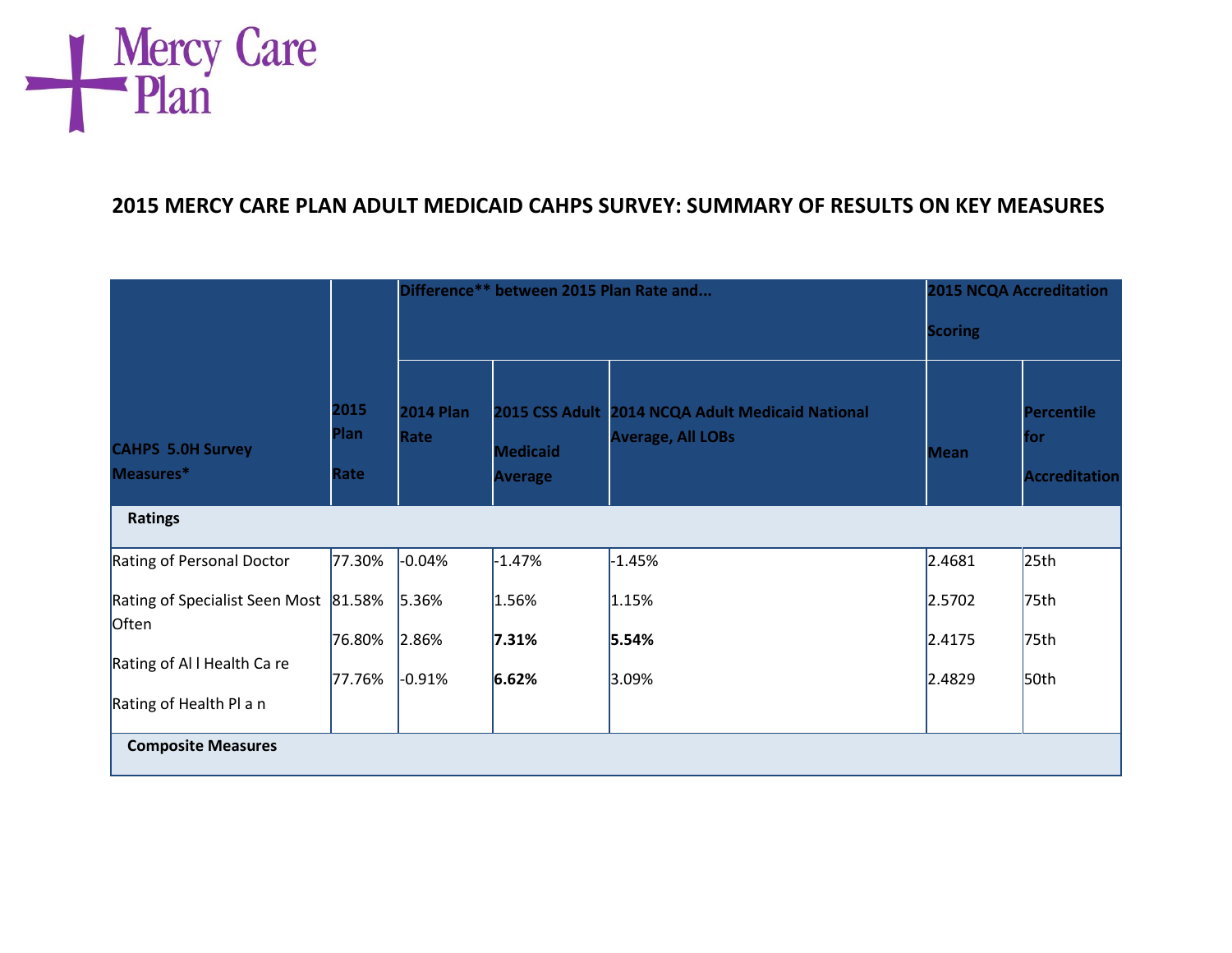

## **2015 MERCY CARE PLAN ADULT MEDICAID CAHPS SURVEY: SUMMARY OF RESULTS ON KEY MEASURES**

|                                                | 2015<br><b>Plan</b><br>Rate | Difference** between 2015 Plan Rate and |                                   |                                                                              |                  | <b>2015 NCQA Accreditation</b><br><b>Scoring</b> |  |
|------------------------------------------------|-----------------------------|-----------------------------------------|-----------------------------------|------------------------------------------------------------------------------|------------------|--------------------------------------------------|--|
|                                                |                             |                                         |                                   |                                                                              |                  |                                                  |  |
| <b>CAHPS 5.0H Survey</b><br>Measures*          |                             | <b>2014 Plan</b><br>Rate                | <b>Medicaid</b><br><b>Average</b> | 2015 CSS Adult 2014 NCQA Adult Medicaid National<br><b>Average, All LOBs</b> | <b>Mean</b>      | <b>Percentile</b><br>for<br><b>Accreditation</b> |  |
| <b>Ratings</b>                                 |                             |                                         |                                   |                                                                              |                  |                                                  |  |
| Rating of Personal Doctor                      | 77.30%                      | $-0.04%$                                | $-1.47%$                          | $-1.45%$                                                                     | 2.4681           | 25 <sub>th</sub>                                 |  |
| Rating of Specialist Seen Most 81.58%<br>Often | 76.80%                      | 5.36%<br>2.86%                          | 1.56%<br>7.31%                    | 1.15%<br>5.54%                                                               | 2.5702<br>2.4175 | 75th<br>75th                                     |  |
| Rating of All Health Care                      | 77.76%                      | $-0.91%$                                | 6.62%                             | 3.09%                                                                        | 2.4829           | 50 <sub>th</sub>                                 |  |
| Rating of Health Pl a n                        |                             |                                         |                                   |                                                                              |                  |                                                  |  |
| <b>Composite Measures</b>                      |                             |                                         |                                   |                                                                              |                  |                                                  |  |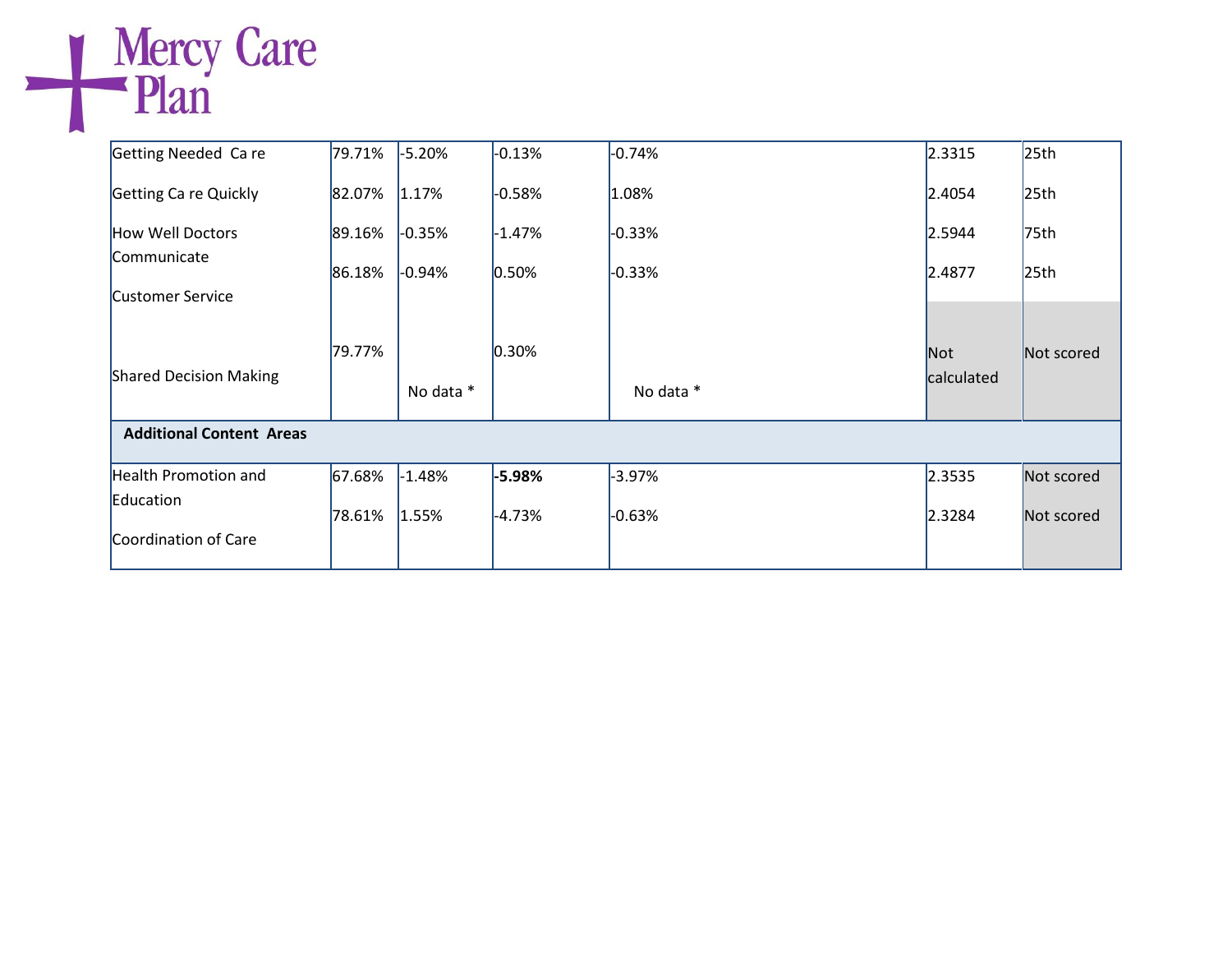## Getting Needed Ca re Getting Ca re Quickly How Well Doctors Communicate Customer Service Shared Decision Making 79.71% 82.07% 89.16% 86.18% 79.77%  $-5.20%$  $1.17%$  $-0.35%$  $-0.94%$  No data \*  $-0.13%$  $-0.58%$  $-1.47%$  $0.50%$ 0.30%  $-0.74%$ 1.08%  $-0.33%$  $-0.33%$  No data \* 2.3315 2.4054 2.5944 2.4877  $25<sub>th</sub>$  $25<sub>th</sub>$ 75th  $25<sub>th</sub>$ Not calculated Not scored  **Additional Content Areas** Health Promotion and Education Coordination of Care 67.68% 78.61%  $-1.48%$  $1.55%$ **-5.98%**  -4.73%  $-3.97%$  $-0.63%$ 2.3535 2.3284 Not scored Not scored

Mercy Care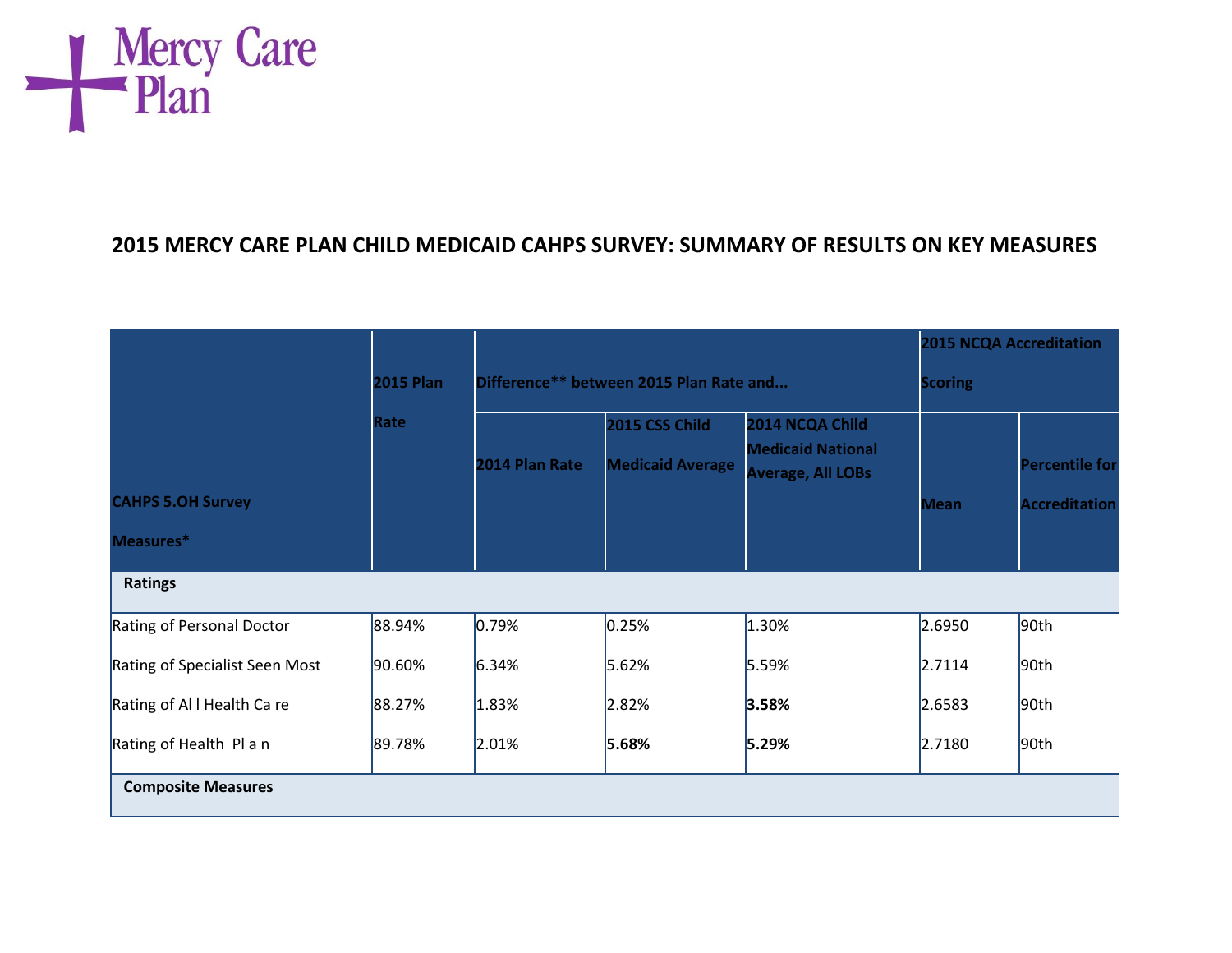

## **2015 MERCY CARE PLAN CHILD MEDICAID CAHPS SURVEY: SUMMARY OF RESULTS ON KEY MEASURES**

|                                |                  |                                         |                         |                                                      | <b>2015 NCQA Accreditation</b> |                       |
|--------------------------------|------------------|-----------------------------------------|-------------------------|------------------------------------------------------|--------------------------------|-----------------------|
|                                | <b>2015 Plan</b> | Difference** between 2015 Plan Rate and | <b>Scoring</b>          |                                                      |                                |                       |
|                                | Rate             |                                         | 2015 CSS Child          | 2014 NCQA Child                                      |                                |                       |
|                                |                  | 2014 Plan Rate                          | <b>Medicaid Average</b> | <b>Medicaid National</b><br><b>Average, All LOBs</b> |                                | <b>Percentile for</b> |
| <b>CAHPS 5.OH Survey</b>       |                  |                                         |                         |                                                      | <b>Mean</b>                    | <b>Accreditation</b>  |
| Measures*                      |                  |                                         |                         |                                                      |                                |                       |
| <b>Ratings</b>                 |                  |                                         |                         |                                                      |                                |                       |
| Rating of Personal Doctor      | 88.94%           | 0.79%                                   | 0.25%                   | 1.30%                                                | 2.6950                         | 90 <sub>th</sub>      |
| Rating of Specialist Seen Most | 90.60%           | 6.34%                                   | 5.62%                   | 5.59%                                                | 2.7114                         | 90th                  |
| Rating of All Health Ca re     | 88.27%           | 1.83%                                   | 2.82%                   | 3.58%                                                | 2.6583                         | 90th                  |
| Rating of Health Pl a n        | 89.78%           | 2.01%                                   | 5.68%                   | 5.29%                                                | 2.7180                         | 90 <sub>th</sub>      |
| <b>Composite Measures</b>      |                  |                                         |                         |                                                      |                                |                       |